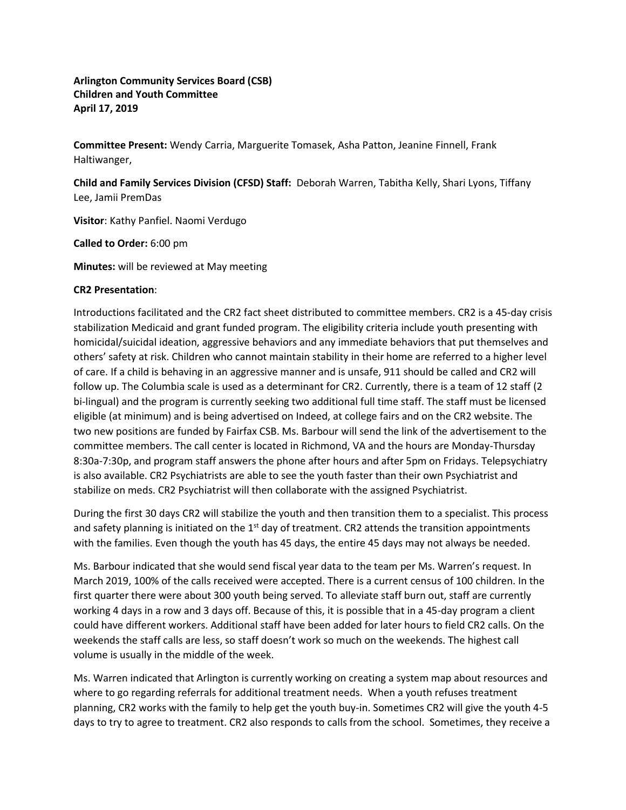**Arlington Community Services Board (CSB) Children and Youth Committee April 17, 2019**

**Committee Present:** Wendy Carria, Marguerite Tomasek, Asha Patton, Jeanine Finnell, Frank Haltiwanger,

**Child and Family Services Division (CFSD) Staff:** Deborah Warren, Tabitha Kelly, Shari Lyons, Tiffany Lee, Jamii PremDas

**Visitor**: Kathy Panfiel. Naomi Verdugo

**Called to Order:** 6:00 pm

**Minutes:** will be reviewed at May meeting

## **CR2 Presentation**:

Introductions facilitated and the CR2 fact sheet distributed to committee members. CR2 is a 45-day crisis stabilization Medicaid and grant funded program. The eligibility criteria include youth presenting with homicidal/suicidal ideation, aggressive behaviors and any immediate behaviors that put themselves and others' safety at risk. Children who cannot maintain stability in their home are referred to a higher level of care. If a child is behaving in an aggressive manner and is unsafe, 911 should be called and CR2 will follow up. The Columbia scale is used as a determinant for CR2. Currently, there is a team of 12 staff (2 bi-lingual) and the program is currently seeking two additional full time staff. The staff must be licensed eligible (at minimum) and is being advertised on Indeed, at college fairs and on the CR2 website. The two new positions are funded by Fairfax CSB. Ms. Barbour will send the link of the advertisement to the committee members. The call center is located in Richmond, VA and the hours are Monday-Thursday 8:30a-7:30p, and program staff answers the phone after hours and after 5pm on Fridays. Telepsychiatry is also available. CR2 Psychiatrists are able to see the youth faster than their own Psychiatrist and stabilize on meds. CR2 Psychiatrist will then collaborate with the assigned Psychiatrist.

During the first 30 days CR2 will stabilize the youth and then transition them to a specialist. This process and safety planning is initiated on the  $1<sup>st</sup>$  day of treatment. CR2 attends the transition appointments with the families. Even though the youth has 45 days, the entire 45 days may not always be needed.

Ms. Barbour indicated that she would send fiscal year data to the team per Ms. Warren's request. In March 2019, 100% of the calls received were accepted. There is a current census of 100 children. In the first quarter there were about 300 youth being served. To alleviate staff burn out, staff are currently working 4 days in a row and 3 days off. Because of this, it is possible that in a 45-day program a client could have different workers. Additional staff have been added for later hours to field CR2 calls. On the weekends the staff calls are less, so staff doesn't work so much on the weekends. The highest call volume is usually in the middle of the week.

Ms. Warren indicated that Arlington is currently working on creating a system map about resources and where to go regarding referrals for additional treatment needs. When a youth refuses treatment planning, CR2 works with the family to help get the youth buy-in. Sometimes CR2 will give the youth 4-5 days to try to agree to treatment. CR2 also responds to calls from the school. Sometimes, they receive a